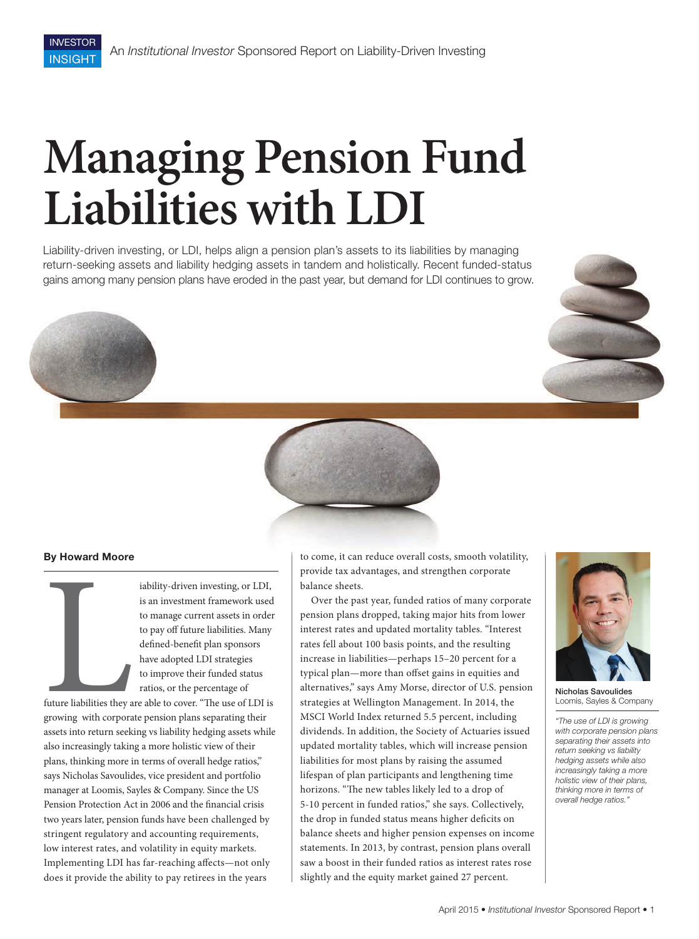# **Managing Pension Fund Liabilities with LDI**

Liability-driven investing, or LDI, helps align a pension plan's assets to its liabilities by managing return-seeking assets and liability hedging assets in tandem and holistically. Recent funded-status gains among many pension plans have eroded in the past year, but demand for LDI continues to grow.







## **By Howard Moore**

Example 18 and 18 and 18 and 18 and 18 and 18 and 18 and 18 and 18 and 18 and 18 and 18 and 18 and 18 and 18 and 18 and 18 and 18 and 18 and 18 and 18 and 18 and 18 and 18 and 18 and 18 and 18 and 18 and 18 and 18 and 18 a iability-driven investing, or LDI, is an investment framework used to manage current assets in order to pay off future liabilities. Many defined-benefit plan sponsors have adopted LDI strategies to improve their funded status ratios, or the percentage of

future liabilities they are able to cover. "The use of LDI is growing with corporate pension plans separating their assets into return seeking vs liability hedging assets while also increasingly taking a more holistic view of their plans, thinking more in terms of overall hedge ratios," says Nicholas Savoulides, vice president and portfolio manager at Loomis, Sayles & Company. Since the US Pension Protection Act in 2006 and the financial crisis two years later, pension funds have been challenged by stringent regulatory and accounting requirements, low interest rates, and volatility in equity markets. Implementing LDI has far-reaching affects-not only does it provide the ability to pay retirees in the years

to come, it can reduce overall costs, smooth volatility, provide tax advantages, and strengthen corporate balance sheets.

Over the past year, funded ratios of many corporate pension plans dropped, taking major hits from lower interest rates and updated mortality tables. "Interest rates fell about 100 basis points, and the resulting increase in liabilities—perhaps 15–20 percent for a typical plan—more than offset gains in equities and alternatives," says Amy Morse, director of U.S. pension strategies at Wellington Management. In 2014, the MSCI World Index returned 5.5 percent, including dividends. In addition, the Society of Actuaries issued updated mortality tables, which will increase pension liabilities for most plans by raising the assumed lifespan of plan participants and lengthening time horizons. "The new tables likely led to a drop of 5-10 percent in funded ratios," she says. Collectively, the drop in funded status means higher deficits on balance sheets and higher pension expenses on income statements. In 2013, by contrast, pension plans overall saw a boost in their funded ratios as interest rates rose slightly and the equity market gained 27 percent.



Nicholas Savoulides Loomis, Sayles & Company

*"The use of LDI is growing with corporate pension plans separating their assets into return seeking vs liability hedging assets while also increasingly taking a more holistic view of their plans, thinking more in terms of overall hedge ratios."*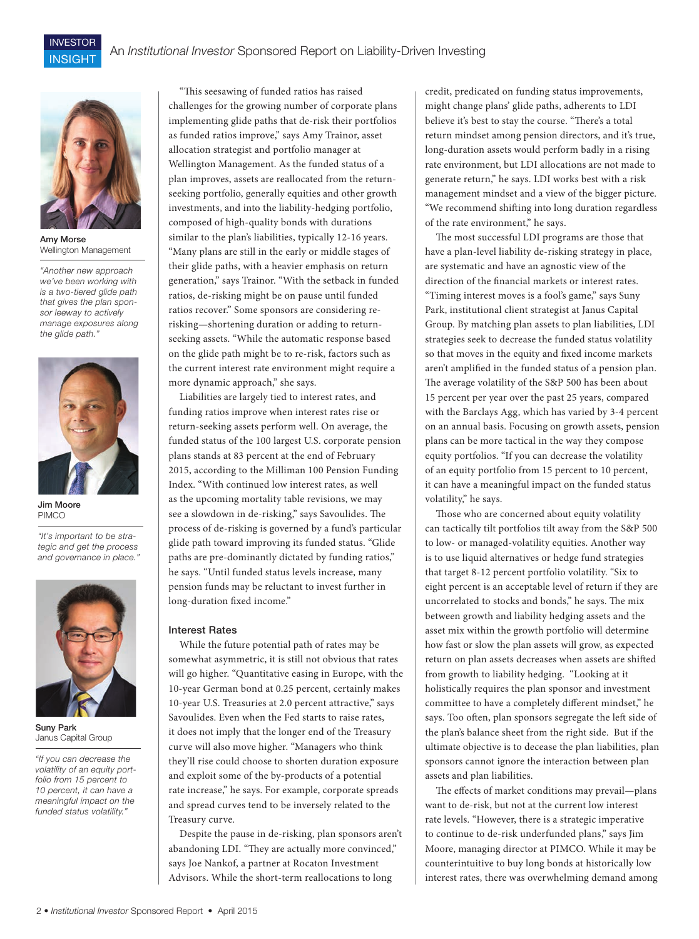

INVESTOR **INSIGHT** 

Amy Morse Wellington Management

*"Another new approach we've been working with is a two-tiered glide path that gives the plan sponsor leeway to actively manage exposures along the glide path."*



Jim Moore **PIMCO** 

*"It's important to be strategic and get the process and governance in place."*



Suny Park Janus Capital Group

*"If you can decrease the volatility of an equity portfolio from 15 percent to 10 percent, it can have a meaningful impact on the funded status volatility."*

"This seesawing of funded ratios has raised challenges for the growing number of corporate plans implementing glide paths that de-risk their portfolios as funded ratios improve," says Amy Trainor, asset allocation strategist and portfolio manager at Wellington Management. As the funded status of a plan improves, assets are reallocated from the returnseeking portfolio, generally equities and other growth investments, and into the liability-hedging portfolio, composed of high-quality bonds with durations similar to the plan's liabilities, typically 12-16 years. "Many plans are still in the early or middle stages of their glide paths, with a heavier emphasis on return generation," says Trainor. "With the setback in funded ratios, de-risking might be on pause until funded ratios recover." Some sponsors are considering rerisking—shortening duration or adding to returnseeking assets. "While the automatic response based on the glide path might be to re-risk, factors such as the current interest rate environment might require a more dynamic approach," she says.

Liabilities are largely tied to interest rates, and funding ratios improve when interest rates rise or return-seeking assets perform well. On average, the funded status of the 100 largest U.S. corporate pension plans stands at 83 percent at the end of February 2015, according to the Milliman 100 Pension Funding Index. "With continued low interest rates, as well as the upcoming mortality table revisions, we may see a slowdown in de-risking," says Savoulides. The process of de-risking is governed by a fund's particular glide path toward improving its funded status. "Glide paths are pre-dominantly dictated by funding ratios," he says. "Until funded status levels increase, many pension funds may be reluctant to invest further in long-duration fixed income."

#### Interest Rates

While the future potential path of rates may be somewhat asymmetric, it is still not obvious that rates will go higher. "Quantitative easing in Europe, with the 10-year German bond at 0.25 percent, certainly makes 10-year U.S. Treasuries at 2.0 percent attractive," says Savoulides. Even when the Fed starts to raise rates, it does not imply that the longer end of the Treasury curve will also move higher. "Managers who think they'll rise could choose to shorten duration exposure and exploit some of the by-products of a potential rate increase," he says. For example, corporate spreads and spread curves tend to be inversely related to the Treasury curve.

Despite the pause in de-risking, plan sponsors aren't abandoning LDI. "They are actually more convinced," says Joe Nankof, a partner at Rocaton Investment Advisors. While the short-term reallocations to long

credit, predicated on funding status improvements, might change plans' glide paths, adherents to LDI believe it's best to stay the course. "There's a total return mindset among pension directors, and it's true, long-duration assets would perform badly in a rising rate environment, but LDI allocations are not made to generate return," he says. LDI works best with a risk management mindset and a view of the bigger picture. "We recommend shifting into long duration regardless of the rate environment," he says.

The most successful LDI programs are those that have a plan-level liability de-risking strategy in place, are systematic and have an agnostic view of the direction of the financial markets or interest rates. "Timing interest moves is a fool's game," says Suny Park, institutional client strategist at Janus Capital Group. By matching plan assets to plan liabilities, LDI strategies seek to decrease the funded status volatility so that moves in the equity and fixed income markets aren't amplified in the funded status of a pension plan. The average volatility of the S&P 500 has been about 15 percent per year over the past 25 years, compared with the Barclays Agg, which has varied by 3-4 percent on an annual basis. Focusing on growth assets, pension plans can be more tactical in the way they compose equity portfolios. "If you can decrease the volatility of an equity portfolio from 15 percent to 10 percent, it can have a meaningful impact on the funded status volatility," he says.

Those who are concerned about equity volatility can tactically tilt portfolios tilt away from the S&P 500 to low- or managed-volatility equities. Another way is to use liquid alternatives or hedge fund strategies that target 8-12 percent portfolio volatility. "Six to eight percent is an acceptable level of return if they are uncorrelated to stocks and bonds," he says. The mix between growth and liability hedging assets and the asset mix within the growth portfolio will determine how fast or slow the plan assets will grow, as expected return on plan assets decreases when assets are shifted from growth to liability hedging. "Looking at it holistically requires the plan sponsor and investment committee to have a completely different mindset," he says. Too often, plan sponsors segregate the left side of the plan's balance sheet from the right side. But if the ultimate objective is to decease the plan liabilities, plan sponsors cannot ignore the interaction between plan assets and plan liabilities.

The effects of market conditions may prevail—plans want to de-risk, but not at the current low interest rate levels. "However, there is a strategic imperative to continue to de-risk underfunded plans," says Jim Moore, managing director at PIMCO. While it may be counterintuitive to buy long bonds at historically low interest rates, there was overwhelming demand among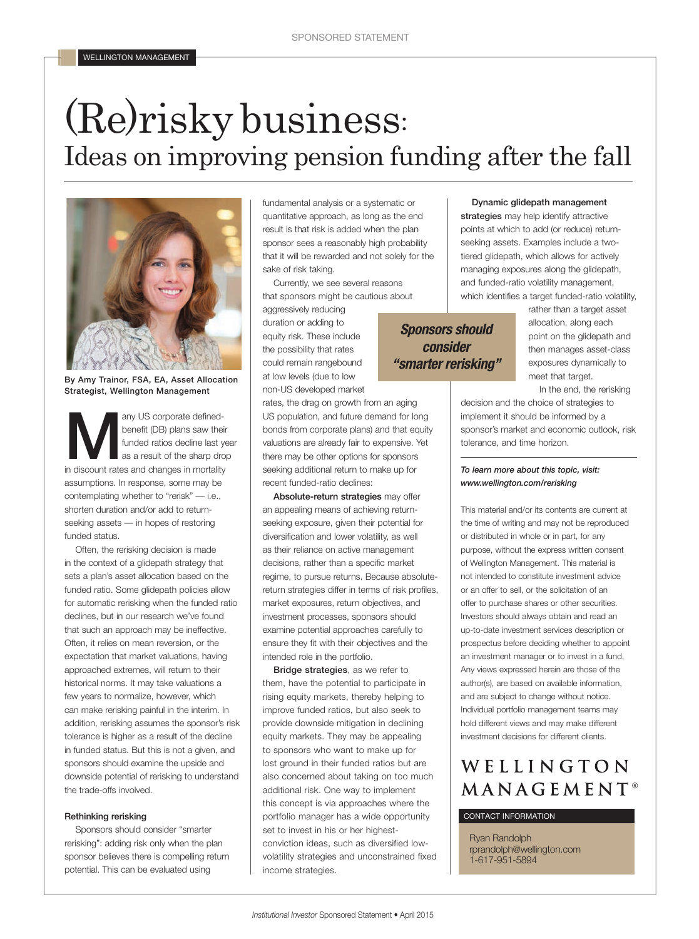# (Re)risky business: Ideas on improving pension funding after the fall



By Amy Trainor, FSA, EA, Asset Allocation Strategist, Wellington Management

any US corporate defined-<br>
benefit (DB) plans saw their<br>
funded ratios decline last year<br>
as a result of the sharp drop<br>
in discount rates and changes in mortality benefit (DB) plans saw their funded ratios decline last year as a result of the sharp drop assumptions. In response, some may be contemplating whether to "rerisk" — i.e., shorten duration and/or add to returnseeking assets — in hopes of restoring funded status.

Often, the rerisking decision is made in the context of a glidepath strategy that sets a plan's asset allocation based on the funded ratio. Some glidepath policies allow for automatic rerisking when the funded ratio declines, but in our research we've found that such an approach may be ineffective. Often, it relies on mean reversion, or the expectation that market valuations, having approached extremes, will return to their historical norms. It may take valuations a few years to normalize, however, which can make rerisking painful in the interim. In addition, rerisking assumes the sponsor's risk tolerance is higher as a result of the decline in funded status. But this is not a given, and sponsors should examine the upside and downside potential of rerisking to understand the trade-offs involved.

#### Rethinking rerisking

Sponsors should consider "smarter rerisking": adding risk only when the plan sponsor believes there is compelling return potential. This can be evaluated using

fundamental analysis or a systematic or quantitative approach, as long as the end result is that risk is added when the plan sponsor sees a reasonably high probability that it will be rewarded and not solely for the sake of risk taking.

Currently, we see several reasons that sponsors might be cautious about

aggressively reducing duration or adding to equity risk. These include the possibility that rates could remain rangebound at low levels (due to low non-US developed market

recent funded-ratio declines:

rates, the drag on growth from an aging US population, and future demand for long bonds from corporate plans) and that equity valuations are already fair to expensive. Yet there may be other options for sponsors seeking additional return to make up for

Absolute-return strategies may offer an appealing means of achieving returnseeking exposure, given their potential for diversification and lower volatility, as well as their reliance on active management decisions, rather than a specific market regime, to pursue returns. Because absolutereturn strategies differ in terms of risk profiles, market exposures, return objectives, and investment processes, sponsors should examine potential approaches carefully to ensure they fit with their objectives and the intended role in the portfolio.

Bridge strategies, as we refer to them, have the potential to participate in rising equity markets, thereby helping to improve funded ratios, but also seek to provide downside mitigation in declining equity markets. They may be appealing to sponsors who want to make up for lost ground in their funded ratios but are also concerned about taking on too much additional risk. One way to implement this concept is via approaches where the portfolio manager has a wide opportunity set to invest in his or her highestconviction ideas, such as diversified lowvolatility strategies and unconstrained fixed income strategies.

# managing exposures along the glidepath, and funded-ratio volatility management,

*Sponsors should consider "smarter rerisking"*

which identifies a target funded-ratio volatility, rather than a target asset allocation, along each point on the glidepath and then manages asset-class exposures dynamically to meet that target.

In the end, the rerisking decision and the choice of strategies to implement it should be informed by a sponsor's market and economic outlook, risk tolerance, and time horizon.

Dynamic glidepath management strategies may help identify attractive points at which to add (or reduce) returnseeking assets. Examples include a twotiered glidepath, which allows for actively

### *To learn more about this topic, visit: www.wellington.com/rerisking*

This material and/or its contents are current at the time of writing and may not be reproduced or distributed in whole or in part, for any purpose, without the express written consent of Wellington Management. This material is not intended to constitute investment advice or an offer to sell, or the solicitation of an offer to purchase shares or other securities. Investors should always obtain and read an up-to-date investment services description or prospectus before deciding whether to appoint an investment manager or to invest in a fund. Any views expressed herein are those of the author(s), are based on available information, Individual portfolio management teams may hold different views and may make different investment decisions for different clients.

# WELLINGTON MANAGEMENT<sup>®</sup>

## CONTACT INFORMATION

Ryan Randolph rprandolph@wellington.com 1-617-951-5894

and are subject to change without notice.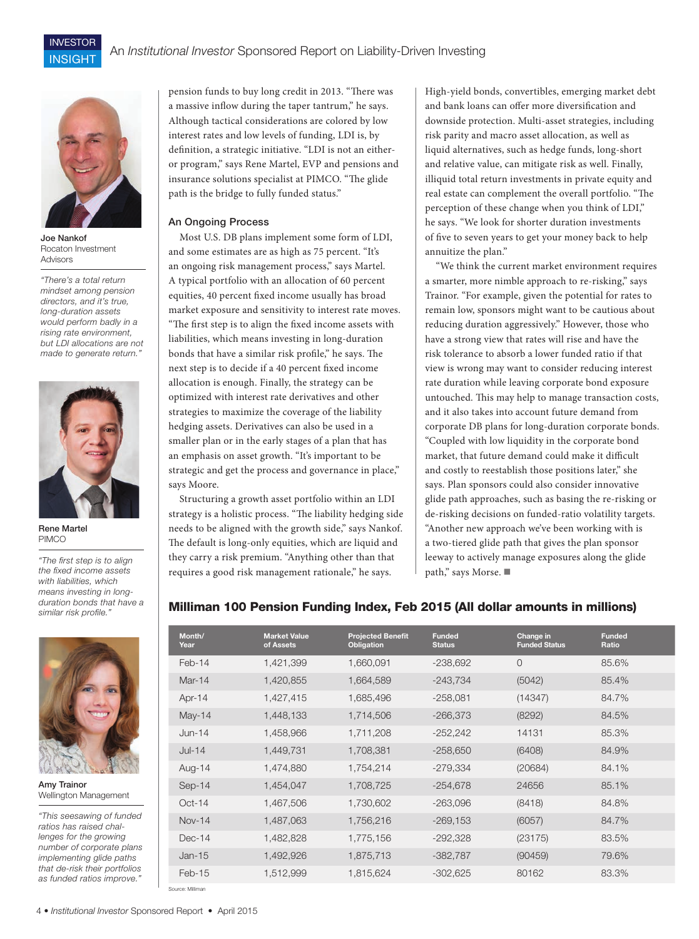

INVESTOR INSIGHT

Joe Nankof Rocaton Investment Advisors

*"There's a total return mindset among pension directors, and it's true, long-duration assets would perform badly in a rising rate environment, but LDI allocations are not made to generate return."*



Rene Martel PIMCO

*"The first step is to align the fixed income assets with liabilities, which means investing in longduration bonds that have a similar risk profile."*



Amy Trainor Wellington Management

*"This seesawing of funded ratios has raised challenges for the growing number of corporate plans implementing glide paths that de-risk their portfolios as funded ratios improve."*

pension funds to buy long credit in 2013. "There was a massive inflow during the taper tantrum," he says. Although tactical considerations are colored by low interest rates and low levels of funding, LDI is, by definition, a strategic initiative. "LDI is not an eitheror program," says Rene Martel, EVP and pensions and insurance solutions specialist at PIMCO. "The glide path is the bridge to fully funded status."

### An Ongoing Process

Most U.S. DB plans implement some form of LDI, and some estimates are as high as 75 percent. "It's an ongoing risk management process," says Martel. A typical portfolio with an allocation of 60 percent equities, 40 percent fixed income usually has broad market exposure and sensitivity to interest rate moves. "The first step is to align the fixed income assets with liabilities, which means investing in long-duration bonds that have a similar risk profile," he says. The next step is to decide if a 40 percent fixed income allocation is enough. Finally, the strategy can be optimized with interest rate derivatives and other strategies to maximize the coverage of the liability hedging assets. Derivatives can also be used in a smaller plan or in the early stages of a plan that has an emphasis on asset growth. "It's important to be strategic and get the process and governance in place," says Moore.

Structuring a growth asset portfolio within an LDI strategy is a holistic process. "The liability hedging side needs to be aligned with the growth side," says Nankof. The default is long-only equities, which are liquid and they carry a risk premium. "Anything other than that requires a good risk management rationale," he says.

High-yield bonds, convertibles, emerging market debt and bank loans can offer more diversification and downside protection. Multi-asset strategies, including risk parity and macro asset allocation, as well as liquid alternatives, such as hedge funds, long-short and relative value, can mitigate risk as well. Finally, illiquid total return investments in private equity and real estate can complement the overall portfolio. "The perception of these change when you think of LDI," he says. "We look for shorter duration investments of five to seven years to get your money back to help annuitize the plan."

"We think the current market environment requires a smarter, more nimble approach to re-risking," says Trainor. "For example, given the potential for rates to remain low, sponsors might want to be cautious about reducing duration aggressively." However, those who have a strong view that rates will rise and have the risk tolerance to absorb a lower funded ratio if that view is wrong may want to consider reducing interest rate duration while leaving corporate bond exposure untouched. This may help to manage transaction costs, and it also takes into account future demand from corporate DB plans for long-duration corporate bonds. "Coupled with low liquidity in the corporate bond market, that future demand could make it difficult and costly to reestablish those positions later," she says. Plan sponsors could also consider innovative glide path approaches, such as basing the re-risking or de-risking decisions on funded-ratio volatility targets. "Another new approach we've been working with is a two-tiered glide path that gives the plan sponsor leeway to actively manage exposures along the glide path," says Morse. ■

# Milliman 100 Pension Funding Index, Feb 2015 (All dollar amounts in millions)

| Month/<br>Year   | <b>Market Value</b><br>of Assets | <b>Projected Benefit</b><br><b>Obligation</b> | <b>Funded</b><br><b>Status</b> | Change in<br><b>Funded Status</b> | <b>Funded</b><br>Ratio |
|------------------|----------------------------------|-----------------------------------------------|--------------------------------|-----------------------------------|------------------------|
| Feb-14           | 1,421,399                        | 1,660,091                                     | $-238,692$                     | $\circ$                           | 85.6%                  |
| Mar-14           | 1,420,855                        | 1,664,589                                     | $-243,734$                     | (5042)                            | 85.4%                  |
| Apr-14           | 1,427,415                        | 1,685,496                                     | $-258,081$                     | (14347)                           | 84.7%                  |
| $May-14$         | 1,448,133                        | 1,714,506                                     | $-266,373$                     | (8292)                            | 84.5%                  |
| $Jun-14$         | 1,458,966                        | 1,711,208                                     | $-252,242$                     | 14131                             | 85.3%                  |
| $Jul-14$         | 1,449,731                        | 1,708,381                                     | $-258,650$                     | (6408)                            | 84.9%                  |
| Aug-14           | 1,474,880                        | 1,754,214                                     | $-279,334$                     | (20684)                           | 84.1%                  |
| $Sep-14$         | 1,454,047                        | 1,708,725                                     | $-254,678$                     | 24656                             | 85.1%                  |
| $Oct-14$         | 1,467,506                        | 1,730,602                                     | $-263,096$                     | (8418)                            | 84.8%                  |
| <b>Nov-14</b>    | 1,487,063                        | 1,756,216                                     | $-269,153$                     | (6057)                            | 84.7%                  |
| $Dec-14$         | 1,482,828                        | 1,775,156                                     | $-292,328$                     | (23175)                           | 83.5%                  |
| $Jan-15$         | 1,492,926                        | 1,875,713                                     | $-382,787$                     | (90459)                           | 79.6%                  |
| $Feb-15$         | 1,512,999                        | 1,815,624                                     | $-302,625$                     | 80162                             | 83.3%                  |
| Source: Milliman |                                  |                                               |                                |                                   |                        |